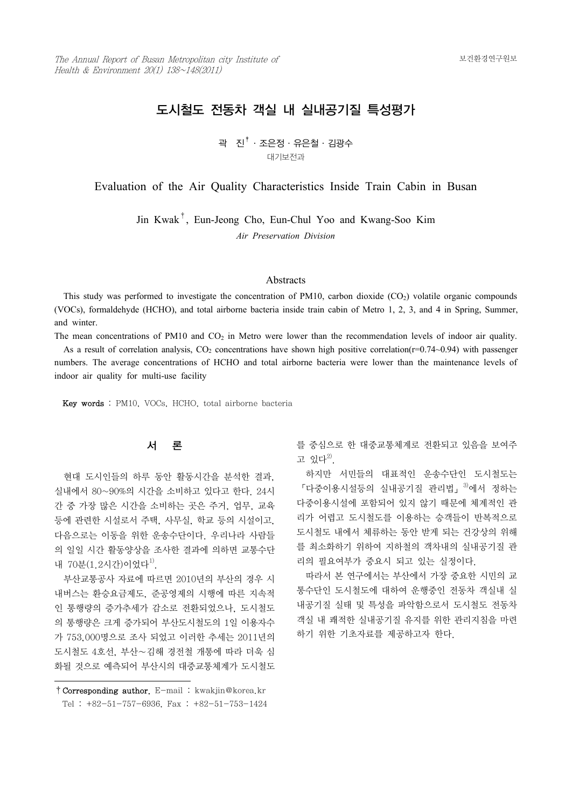# 도시철도 전동차 객실 내 실내공기질 특성평가

곽 진<sup>†</sup>·조은정·유은철·김광수 대기보전과

Evaluation of the Air Quality Characteristics Inside Train Cabin in Busan

Jin Kwak† , Eun-Jeong Cho, Eun-Chul Yoo and Kwang-Soo Kim *Air Preservation Division*

#### **Abstracts**

This study was performed to investigate the concentration of PM10, carbon dioxide  $(CO<sub>2</sub>)$  volatile organic compounds (VOCs), formaldehyde (HCHO), and total airborne bacteria inside train cabin of Metro 1, 2, 3, and 4 in Spring, Summer, and winter.

The mean concentrations of PM10 and  $CO<sub>2</sub>$  in Metro were lower than the recommendation levels of indoor air quality.

As a result of correlation analysis,  $CO<sub>2</sub>$  concentrations have shown high positive correlation( $r=0.74~0.94$ ) with passenger numbers. The average concentrations of HCHO and total airborne bacteria were lower than the maintenance levels of indoor air quality for multi-use facility

Key words : PM10, VOCs, HCHO, total airborne bacteria

# 서 론

간 중 가장 많은 시간을 소비하는 곳은 주거, 업무, 교육 등에 관련한 시설로서 주택, 사무실, 학교 등의 시설이고,<br>다음으로는 이동을 위한 운송수단이다. 우리나라 사람들 의 일일 시간 활동양상을 조사한 결과에 의하면 교통수단 내 70분 $(1.2\lambda$ 각)이었다 $^{1)}$ .

 부산교통공사 자료에 따르면 2010년의 부산의 경우 시 내버스는 환승요금제도, 준공영제의 시행에 따른 지속적 인 통행량의 증가추세가 감소로 전환되었으나, 도시철도 의 통행량은 크게 증가되어 부산도시철도의 1일 이용자수 가 753,000명으로 조사 되었고 이러한 추세는 2011년의 도시철도 4호선, 부산∼김해 경전철 개통에 따라 더욱 심 화될 것으로 예측되어 부산시의 대중교통체계가 도시철도 를 중심으로 한 대중교통체계로 전환되고 있음을 보여주 고 있다 $^{2)}$ .

현대 도시인들의 하루 동안 활동시간을 분석한 결과, 하지만 서민들의 대표적인 운송수단인 도시철도는<br>실내에서 80~90%의 시간을 소비하고 있다고 한다. 24시 「다중이용시설등의 실내공기질 관리법」<sup>3)</sup>에서 정하는 「다중이용시설등의 실내공기질 관리법」<sup>3)</sup>에서 정하는 다중이용시설에 포함되어 있지 않기 때문에 체계적인 관 리가 어렵고 도시철도를 이용하는 승객들이 반복적으로 도시철도 내에서 체류하는 동안 받게 되는 건강상의 위해 를 최소화하기 위하여 지하철의 객차내의 실내공기질 관 리의 필요여부가 중요시 되고 있는 실정이다.

> 따라서 본 연구에서는 부산에서 가장 중요한 시민의 교 통수단인 도시철도에 대하여 운행중인 전동차 객실내 실 내공기질 실태 및 특성을 파악함으로서 도시철도 전동차 객실 내 쾌적한 실내공기질 유지를 위한 관리지침을 마련 하기 위한 기초자료를 제공하고자 한다.

<sup>†</sup>Corresponding author. E-mail : kwakjin@korea.kr Tel : +82-51-757-6936, Fax : +82-51-753-1424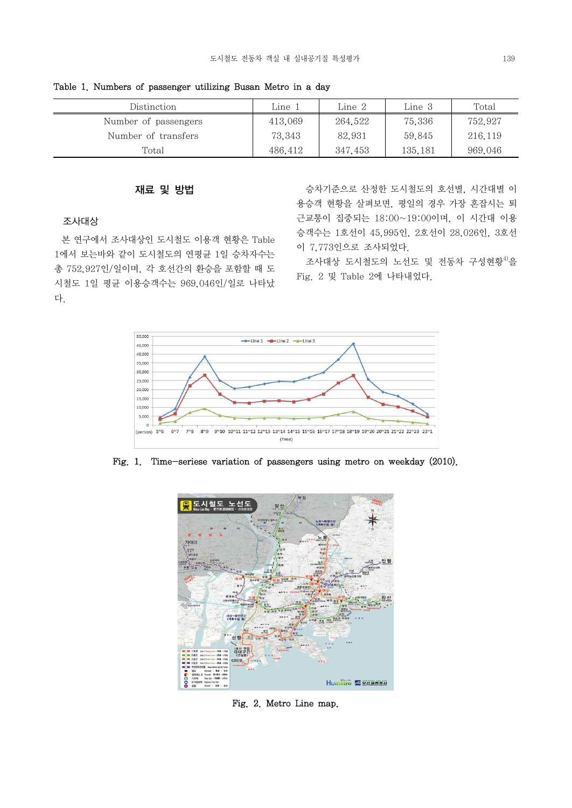Distinction  $\Box$  Line 1 Line 2 Line 3 Total Number of passengers 1 413,069 264,522 75,336 752,927 Number of transfers 1 73,343 82,931 59,845 216,119 Total 135,181 969,046

Table 1. Numbers of passenger utilizing Busan Metro in a day

# 재료 및 방법

### 조사대상

 본 연구에서 조사대상인 도시철도 이용객 현황은 Table 1에서 보는바와 같이 도시철도의 연평균 1일 승차자수는 총 752,927인/일이며, 각 호선간의 환승을 포함할 때 도 시철도 1일 평균 이용승객수는 969,046인/일로 나타났 다.

 승차기준으로 산정한 도시철도의 호선별, 시간대별 이 용승객 현황을 살펴보면, 평일의 경우 가장 혼잡시는 퇴 근교통이 집중되는 18:00~19:00이며, 이 시간대 이용 승객수는 1호선이 45,995인, 2호선이 28,026인, 3호선 이 7,773인으로 조사되었다.

조사대상 도시철도의 노선도 및 전동차 구성현황<sup>4)</sup>을 Fig. 2 및 Table 2에 나타내었다.



Fig. 1. Time-seriese variation of passengers using metro on weekday (2010).



Fig. 2. Metro Line map.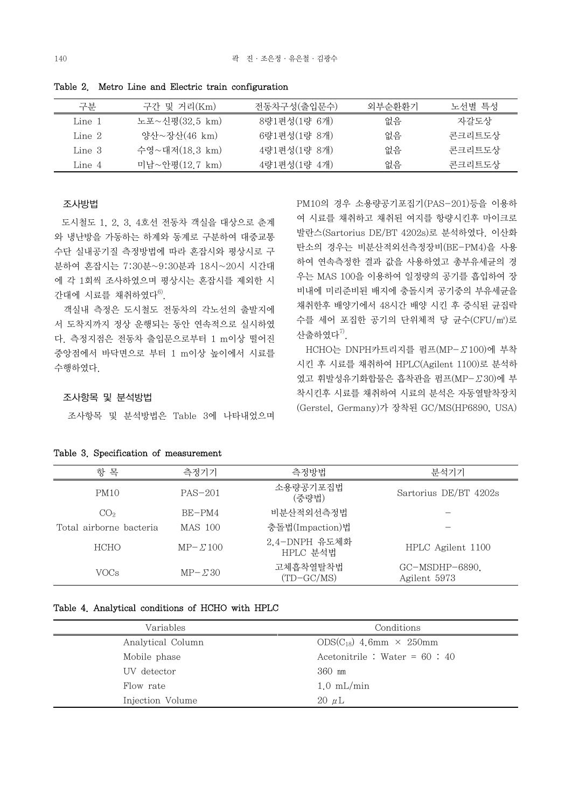| 구부     | 구가 및 거리(Km)    | 전동차구성(출입문수)  | 외부수화화기 | 노선별 특성 |
|--------|----------------|--------------|--------|--------|
| Line 1 | 노포~신평(32.5 km) | 8량1편성(1량 6개) | 없음     | 자갈도상   |
| Line 2 | 양산~장산(46 km)   | 6량1편성(1량 8개) | 없음     | 콘크리트도상 |
| Line 3 | 수영~대저(18.3 km) | 4량1편성(1량 8개) | 없음     | 콘크리트도상 |
| Line 4 | 미남~안평(12.7 km) | 4량1편성(1량 4개) | 없음     | 콘크리트도상 |
|        |                |              |        |        |

Table 2. Metro Line and Electric train configuration

#### 조사방법

 도시철도 1, 2, 3, 4호선 전동차 객실을 대상으로 춘계 와 냉난방을 가동하는 하계와 동계로 구분하여 대중교통 수단 실내공기질 측정방법에 따라 혼잡시와 평상시로 구 분하여 혼잡시는 7:30분~9:30분과 18시~20시 시간대 에 각 1회씩 조사하였으며 평상시는 혼잡시를 제외한 시 간대에 시료를 채취하였다 $^{6}$ .

 객실내 측정은 도시철도 전동차의 각노선의 출발지에 서 도착지까지 정상 운행되는 동안 연속적으로 실시하였 다. 측정지점은 전동차 출입문으로부터 1 m이상 떨어진 중앙점에서 바닥면으로 부터 1 m이상 높이에서 시료를 수행하였다.

# 여 시료를 채취하고 채취된 여지를 항량시킨후 마이크로 발란스(Sartorius DE/BT 4202s)로 분석하였다. 이산화 탄소의 경우는 비분산적외선측정장비(BE-PM4)을 사용 하여 연속측정한 결과 값을 사용하였고 총부유세균의 경 우는 MAS 100을 이용하여 일정량의 공기를 흡입하여 장 비내에 미리준비된 배지에 충돌시켜 공기중의 부유세균을 채취한후 배양기에서 48시간 배양 시킨 후 증식된 균집락 수를 세어 포집한 공기의 단위체적 당 균수(CFU/㎥)로 산출하였다 $7$ .

PM10의 경우 소용량공기포집기(PAS-201)등을 이용하

 HCHO는 DNPH카트리지를 펌프(MP-Σ100)에 부착 시킨 후 시료를 채취하여 HPLC(Agilent 1100)로 분석하 였고 휘발성유기화합물은 흡착관을 펌프(MP-Σ30)에 부 착시킨후 시료를 채취하여 시료의 분석은 자동열탈착장치 (Gerstel, Germany)가 장착된 GC/MS(HP6890, USA)

# 조사항목 및 분석방법

조사항목 및 분석방법은 Table 3에 나타내었으며

| 항<br>목                  | 측정기기             | 측정방법                      | 분석기기                           |
|-------------------------|------------------|---------------------------|--------------------------------|
| PM <sub>10</sub>        | $PAS-201$        | 소용량공기포집법<br>(중량법)         | Sartorius DE/BT 4202s          |
| CO <sub>2</sub>         | BE-PM4           | 비분산적외선측정법                 |                                |
| Total airborne bacteria | <b>MAS 100</b>   | 충돌법(Impaction)법           |                                |
| <b>HCHO</b>             | $MP - 2100$      | 2,4-DNPH 유도체화<br>HPLC 분석법 | HPLC Agilent 1100              |
| VOCs                    | $MP - \Sigma 30$ | 고체흡착열탈착법<br>$(TD-GC/MS)$  | GC-MSDHP-6890.<br>Agilent 5973 |

Table 3. Specification of measurement

## Table 4. Analytical conditions of HCHO with HPLC

| Variables         | Conditions                         |
|-------------------|------------------------------------|
| Analytical Column | $ODS(C_{18})$ 4.6mm $\times$ 250mm |
| Mobile phase      | Acetonitrile : Water = $60 : 40$   |
| UV detector       | $360$ nm                           |
| Flow rate         | $1.0 \text{ mL/min}$               |
| Injection Volume  | $20 \mu L$                         |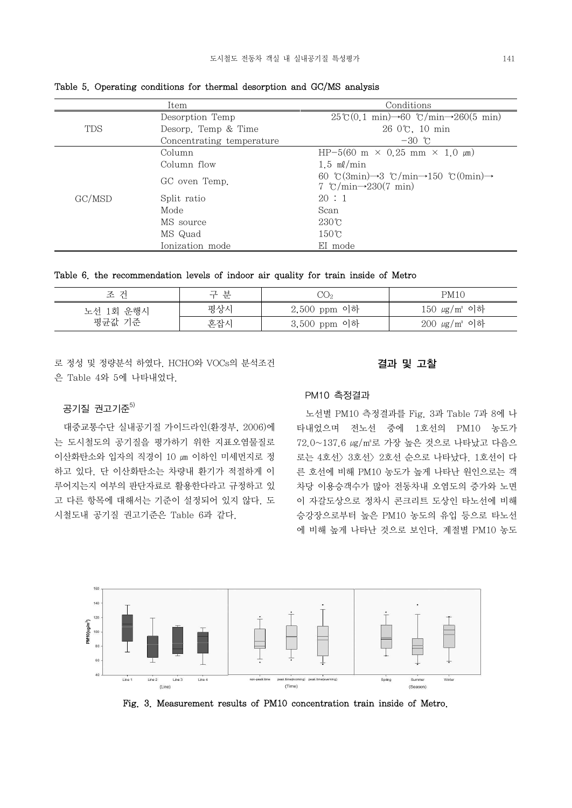|            | Item                      | Conditions                                                                                                       |  |  |  |  |
|------------|---------------------------|------------------------------------------------------------------------------------------------------------------|--|--|--|--|
|            | Desorption Temp           | $25\degree (0.1 \text{ min}) \rightarrow 60\degree (7 \text{ min} \rightarrow 260(5 \text{ min}))$               |  |  |  |  |
| <b>TDS</b> | Desorp. Temp & Time       | 26 0℃, 10 min                                                                                                    |  |  |  |  |
|            | Concentrating temperature | $-30$ c                                                                                                          |  |  |  |  |
|            | Column                    | HP-5(60 m $\times$ 0.25 mm $\times$ 1.0 $\mu$ m)                                                                 |  |  |  |  |
|            | Column flow               | $1.5$ ml/min                                                                                                     |  |  |  |  |
|            | GC oven Temp.             | 60 °C(3min) $\rightarrow$ 3 °C/min $\rightarrow$ 150 °C(0min) $\rightarrow$<br>7 °C/min $\rightarrow$ 230(7 min) |  |  |  |  |
| GC/MSD     | Split ratio               | 20:1                                                                                                             |  |  |  |  |
|            | Mode                      | Scan                                                                                                             |  |  |  |  |
|            | MS source                 | $230^\circ$ C                                                                                                    |  |  |  |  |
|            | MS Quad                   | $150^{\circ}$ C                                                                                                  |  |  |  |  |
|            | Ionization mode           | EI mode                                                                                                          |  |  |  |  |

Table 5. Operating conditions for thermal desorption and GC/MS analysis

Table 6. the recommendation levels of indoor air quality for train inside of Metro

| 건<br>조    | 분<br>╼<br>$-1$ | $\mathrm{CO}_2$ | PM10                 |
|-----------|----------------|-----------------|----------------------|
| 노선 1회 운행시 | 평상시            | 2,500 ppm 이하    | $150 \ \mu g/m^3$ 이하 |
| 평균값 기준    | 혼잡시            | 3,500 ppm 이하    | $200 \mu g/m^3$ 이하   |

로 정성 및 정량분석 하였다. HCHO와 VOCs의 분석조건 은 Table 4와 5에 나타내었다.

### 결과 및 고찰

## 공기질 권고기준 $5$

 대중교통수단 실내공기질 가이드라인(환경부, 2006)에 는 도시철도의 공기질을 평가하기 위한 지표오염물질로 이산화탄소와 입자의 직경이 10 ㎛ 이하인 미세먼지로 정 하고 있다. 단 이산화탄소는 차량내 환기가 적절하게 이 루어지는지 여부의 판단자료로 활용한다라고 규정하고 있 고 다른 항목에 대해서는 기준이 설정되어 있지 않다. 도 시철도내 공기질 권고기준은 Table 6과 같다.

#### PM10 측정결과

 노선별 PM10 측정결과를 Fig. 3과 Table 7과 8에 나 타내었으며 전노선 중에 1호선의 PM10 농도가 72.0~137.6 ㎍/㎥로 가장 높은 것으로 나타났고 다음으 로는 4호선〉3호선〉2호선 순으로 나타났다. 1호선이 다 른 호선에 비해 PM10 농도가 높게 나타난 원인으로는 객 차당 이용승객수가 많아 전동차내 오염도의 증가와 노면 이 자갈도상으로 정차시 콘크리트 도상인 타노선에 비해 승강장으로부터 높은 PM10 농도의 유입 등으로 타노선 에 비해 높게 나타난 것으로 보인다. 계절별 PM10 농도



Fig. 3. Measurement results of PM10 concentration train inside of Metro.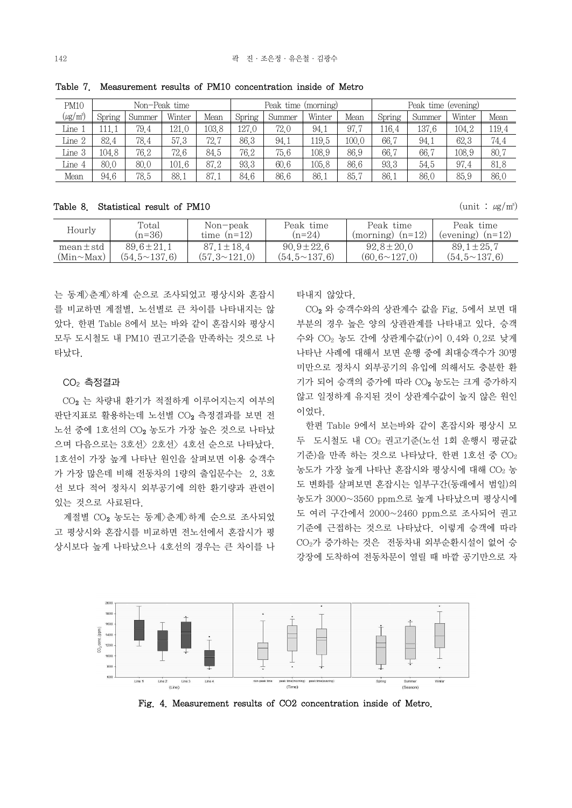| PM10                      |        |        | Non–Peak time |       |        | Peak time (morning) |        |       | Peak time (evening) |        |        |       |
|---------------------------|--------|--------|---------------|-------|--------|---------------------|--------|-------|---------------------|--------|--------|-------|
| $(\mu$ g/m <sup>3</sup> ) | Spring | Summer | Winter        | Mean  | Spring | Summer              | Winter | Mean  | Spring              | Summer | Winter | Mean  |
| Line :                    |        | 79.4   | 121.0         | 103.8 | 127.0  | 72.0                | 94.1   | 97.7  | 116.4               | 137.6  | 104.2  | 119.4 |
| Line 2                    | 82.4   | 78.4   | 57.3          | 72.7  | 86.3   | 94.1                | 119.5  | 100.0 | 66.7                | 94.1   | 62.3   | 74.4  |
| Line 3                    | 104.8  | 76.2   | 72.6          | 84.5  | 76.2   | 75.6                | 108.9  | 86.9  | 66.7                | 66.7   | 108.9  | 80.7  |
| Line 4                    | 80.0   | 80.0   | 101.6         | 87.2  | 93.3   | 60.6                | 105.8  | 86.6  | 93.3                | 54.5   | 97.4   | 81.8  |
| Mean                      | 94.6   | 78.5   | 88.1          | 87.1  | 84.6   | 86.6                | 86.1   | 85.7  | 86.1                | 86.0   | 85.9   | 86.0  |

Table 7. Measurement results of PM10 concentration inside of Metro

Table 8. Statistical result of PM10  $(\text{unit} : \mu \text{g/m})$ 

| Hourly         | Total<br>$(n=36)$   | Non-peak<br>time $(n=12)$ | Peak time<br>$(n=24)$ | Peak time<br>$(morning)$ $(n=12)$ | Peak time<br>(evening) $(n=12)$ |
|----------------|---------------------|---------------------------|-----------------------|-----------------------------------|---------------------------------|
| $mean \pm std$ | $89.6 \pm 21.1$     | $87.1 \pm 18.4$           | $90.9 \pm 22.6$       | $92.8 \pm 20.0$                   | $89.1 \pm 25.7$                 |
| (Min~Max)      | $(54.5 \sim 137.6)$ | $(57.3 \times 121.0)$     | $(54.5 \times 137.6)$ | $(60.6 \sim 127.0)$               | $(54.5 \times 137.6)$           |

는 동계>춘계>하계 순으로 조사되었고 평상시와 혼잡시 를 비교하면 계절별, 노선별로 큰 차이를 나타내지는 않 았다. 한편 Table 8에서 보는 바와 같이 혼잡시와 평상시 모두 도시철도 내 PM10 권고기준을 만족하는 것으로 나 타났다.

### $CO<sub>2</sub>$  측정결과

 CO2 는 차량내 환기가 적절하게 이루어지는지 여부의 판단지표로 활용하는데 노선별 CO2 측정결과를 보면 전 노선 중에 1호선의 CO<sup>2</sup> 농도가 가장 높은 것으로 나타났 으며 다음으로는 3호선〉2호선〉4호선 순으로 나타났다.<br>1호선이 가장 높게 나타난 원인을 살펴보면 이용 승객수 가 가장 많은데 비해 전동차의 1량의 출입문수는 2, 3호 선 보다 적어 정차시 외부공기에 의한 환기량과 관련이 있는 것으로 사료된다.

계절별 CO2 농도는 동계>춘계>하계 순으로 조사되었 고 평상시와 혼잡시를 비교하면 전노선에서 혼잡시가 평 상시보다 높게 나타났으나 4호선의 경우는 큰 차이를 나 타내지 않았다.

 CO2 와 승객수와의 상관계수 값을 Fig. 5에서 보면 대 부분의 경우 높은 양의 상관관계를 나타내고 있다. 승객 수와 CO2 농도 간에 상관계수값(r)이 0.4와 0.2로 낮게 나타난 사례에 대해서 보면 운행 중에 최대승객수가 30명 미만으로 정차시 외부공기의 유입에 의해서도 충분한 환 기가 되어 승객의 증가에 따라 CO<sup>2</sup> 농도는 크게 증가하지 않고 일정하게 유지된 것이 상관계수값이 높지 않은 원인 이었다.

 한편 Table 9에서 보는바와 같이 혼잡시와 평상시 모 두 도시철도 내 CO<sup>2</sup> 권고기준(노선 1회 운행시 평균값  $712.5$ 을 만족 하는 것으로 나타났다. 한편  $1224.5$   $CO<sub>2</sub>$ 농도가 가장 높게 나타나 혼잡시와 평상시에 대해 CO<sub>2</sub> 농 도 변화를 살펴보면 혼잡시는 일부구간(동래에서 범일)의 농도가 3000~3560 ppm으로 높게 나타났으며 평상시에 도 여러 구간에서 2000~2460 ppm으로 조사되어 권고 기준에 근접하는 것으로 나타났다. 이렇게 승객에 따라 CO2가 증가하는 것은 전동차내 외부순환시설이 없어 승 강장에 도착하여 전동차문이 열릴 때 바깥 공기만으로 자



Fig. 4. Measurement results of CO2 concentration inside of Metro.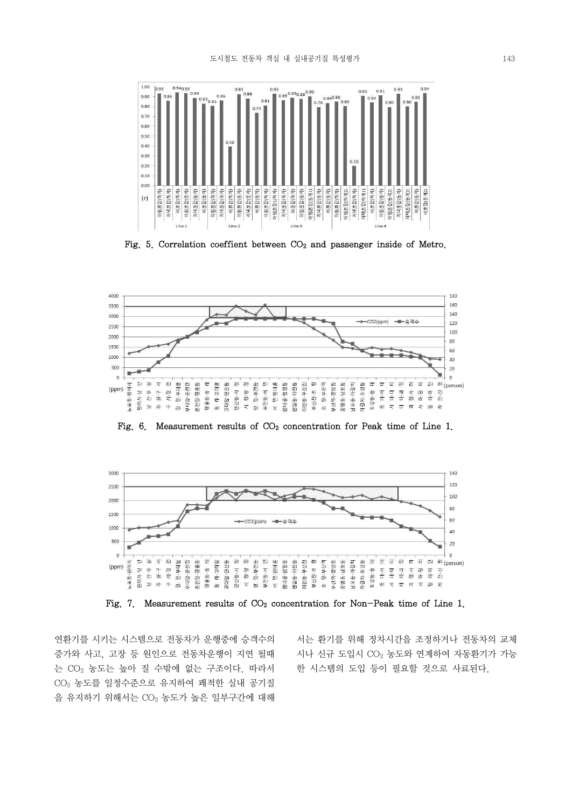

Fig. 5. Correlation coeffient between  $CO<sub>2</sub>$  and passenger inside of Metro.



Fig. 6. Measurement results of  $CO<sub>2</sub>$  concentration for Peak time of Line 1.



Fig. 7. Measurement results of  $CO<sub>2</sub>$  concentration for Non-Peak time of Line 1.

연환기를 시키는 시스템으로 전동차가 운행중에 승객수의 증가와 사고, 고장 등 원인으로 전동차운행이 지연 될때 는 CO<sup>2</sup> 농도는 높아 질 수밖에 없는 구조이다. 따라서 CO2 농도를 일정수준으로 유지하여 쾌적한 실내 공기질 을 유지하기 위해서는 CO2 농도가 높은 일부구간에 대해

서는 환기를 위해 정차시간을 조정하거나 전동차의 교체 시나 신규 도입시 CO<sup>2</sup> 농도와 연계하여 자동환기가 가능 한 시스템의 도입 등이 필요할 것으로 사료된다.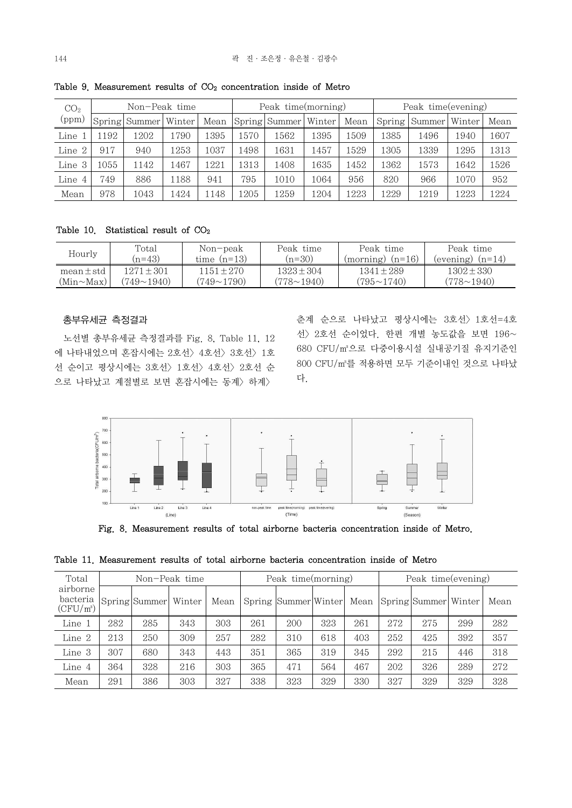| CO <sub>2</sub> |      | Non-Peak time        |      |       |      | Peak time(morning)   |      |      | Peak time(evening) |                 |      |      |
|-----------------|------|----------------------|------|-------|------|----------------------|------|------|--------------------|-----------------|------|------|
| (ppm)           |      | Spring Summer Winter |      | Mean  |      | Spring Summer Winter |      | Mean | Spring             | Summer   Winter |      | Mean |
| Line            | 1192 | 1202                 | 1790 | 1395  | 1570 | 1562                 | 1395 | 1509 | 1385               | 1496            | 1940 | 1607 |
| Line 2          | 917  | 940                  | 1253 | 1037  | 1498 | 1631                 | 1457 | 1529 | 1305               | 1339            | 1295 | 1313 |
| Line 3          | 1055 | 1142                 | 1467 | 1221  | 1313 | 1408                 | 1635 | 1452 | 1362               | 1573            | 1642 | 1526 |
| Line            | 749  | 886                  | 1188 | 941   | 795  | 1010                 | 1064 | 956  | 820                | 966             | 1070 | 952  |
| Mean            | 978  | 1043                 | 1424 | l 148 | 1205 | 1259                 | 1204 | 1223 | 1229               | 1219            | 1223 | 1224 |

Table 9. Measurement results of  $CO<sub>2</sub>$  concentration inside of Metro

Table 10. Statistical result of  $CO<sub>2</sub>$ 

| Hourly         | Total             | Non-peak          | Peak time       | Peak time            | Peak time            |
|----------------|-------------------|-------------------|-----------------|----------------------|----------------------|
|                | $(n=43)$          | time $(n=13)$     | $(n=30)$        | $(morning)$ $(n=16)$ | $(evening)$ $(n=14)$ |
| $mean \pm std$ | 1271+301          | $1151 + 270$      | $1323 + 304$    | $1341 \pm 289$       | $1302 \pm 330$       |
| (Min~Max)      | $(749{\sim}1940)$ | $(749 \sim 1790)$ | $(778\sim1940)$ | $(795 \sim 1740)$    | $(778 \sim 1940)$    |

#### 총부유세균 측정결과

 노선별 총부유세균 측정결과를 Fig. 8, Table 11, 12 에 나타내었으며 혼잡시에는 2호선〉4호선〉3호선〉1호 선 순이고 평상시에는 3호선〉1호선〉4호선〉2호선 순 으로 나타났고 계절별로 보면 혼잡시에는 동계〉하계〉

춘계 순으로 나타났고 평상시에는 3호선〉1호선=4호 선〉2호선 순이었다. 한편 개별 농도값을 보면 196~ 680 CFU/㎥으로 다중이용시설 실내공기질 유지기준인 800 CFU/㎥를 적용하면 모두 기준이내인 것으로 나타났 다.



Fig. 8. Measurement results of total airborne bacteria concentration inside of Metro.

|  |  |  |  |  |  |  |  | Table 11. Measurement results of total airborne bacteria concentration inside of Metro |  |  |  |  |
|--|--|--|--|--|--|--|--|----------------------------------------------------------------------------------------|--|--|--|--|
|--|--|--|--|--|--|--|--|----------------------------------------------------------------------------------------|--|--|--|--|

| Total                               |     |               | Non-Peak time |      |     | Peak time(morning)   |     |      |     | Peak time(evening)   |     |      |  |
|-------------------------------------|-----|---------------|---------------|------|-----|----------------------|-----|------|-----|----------------------|-----|------|--|
| airborne<br>bacteria<br>$(CFU/m^3)$ |     | Spring Summer | Winter        | Mean |     | Spring Summer Winter |     | Mean |     | Spring Summer Winter |     | Mean |  |
| Line 1                              | 282 | 285           | 343           | 303  | 261 | 200                  | 323 | 261  | 272 | 275                  | 299 | 282  |  |
| Line 2                              | 213 | 250           | 309           | 257  | 282 | 310                  | 618 | 403  | 252 | 425                  | 392 | 357  |  |
| Line 3                              | 307 | 680           | 343           | 443  | 351 | 365                  | 319 | 345  | 292 | 215                  | 446 | 318  |  |
| Line 4                              | 364 | 328           | 216           | 303  | 365 | 471                  | 564 | 467  | 202 | 326                  | 289 | 272  |  |
| Mean                                | 291 | 386           | 303           | 327  | 338 | 323                  | 329 | 330  | 327 | 329                  | 329 | 328  |  |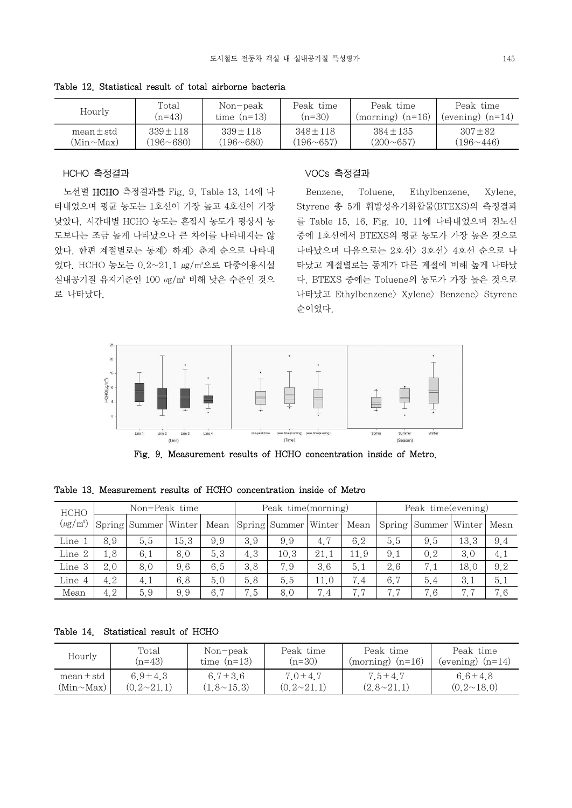| Hourly       | Total            | Non-peak         | Peak time     | Peak time            | Peak time            |
|--------------|------------------|------------------|---------------|----------------------|----------------------|
|              | $(n=43)$         | time $(n=13)$    | $(n=30)$      | $(morming)$ $(n=16)$ | $(evening)$ $(n=14)$ |
| $mean + std$ | $339 + 118$      | $339 + 118$      | $348 + 118$   | $384 + 135$          | $307 + 82$           |
| (Min~Max)    | $(196 \sim 680)$ | $(196 \sim 680)$ | $(196 - 657)$ | $(200 \sim 657)$     | $(196 \sim 446)$     |

Table 12. Statistical result of total airborne bacteria

#### HCHO 측정결과

 노선별 HCHO 측정결과를 Fig. 9, Table 13, 14에 나 타내었으며 평균 농도는 1호선이 가장 높고 4호선이 가장 낮았다. 시간대별 HCHO 농도는 혼잡시 농도가 평상시 농 도보다는 조금 높게 나타났으나 큰 차이를 나타내지는 않 았다. 한편 계절별로는 동계〉하계〉춘계 순으로 나타내 었다. HCHO 농도는 0.2~21.1 ㎍/㎥으로 다중이용시설 실내공기질 유지기준인 100 ㎍/㎥ 비해 낮은 수준인 것으 로 나타났다.

#### VOCs 측정결과

Toluene, Ethylbenzene, Xylene, Styrene 총 5개 휘발성유기화합물(BTEXS)의 측정결과 를 Table 15, 16, Fig. 10, 11에 나타내었으며 전노선 중에 1호선에서 BTEXS의 평균 농도가 가장 높은 것으로 나타났으며 다음으로는 2호선〉3호선〉4호선 순으로 나 타났고 계절별로는 동계가 다른 계절에 비해 높게 나타났 다. BTEXS 중에는 Toluene의 농도가 가장 높은 것으로 나타났고 Ethylbenzene> Xylene> Benzene> Styrene 순이었다.



Fig. 9. Measurement results of HCHO concentration inside of Metro.

|  |  |  |  |  |  | Table 13. Measurement results of HCHO concentration inside of Metro |  |  |  |  |
|--|--|--|--|--|--|---------------------------------------------------------------------|--|--|--|--|
|--|--|--|--|--|--|---------------------------------------------------------------------|--|--|--|--|

| HCHO          |     | Non-Peak time        |      |     | Peak time(morning) |                           |      |      | Peak time(evening) |                                 |      |     |
|---------------|-----|----------------------|------|-----|--------------------|---------------------------|------|------|--------------------|---------------------------------|------|-----|
| $(\mu g/m^3)$ |     | Spring Summer Winter |      |     |                    | Mean Spring Summer Winter |      | Mean |                    | Spring   Summer   Winter   Mean |      |     |
| Line 1        | 8.9 | 5.5                  | 15.3 | 9.9 | 3.9                | 9.9                       | 4.7  | 6.2  | 5.5                | 9.5                             | 13.3 | 9.4 |
| Line 2        | 1.8 | 6,1                  | 8.0  | 5.3 | 4.3                | 10.3                      | 21.1 | 11.9 | 9.1                | 0.2                             | 3.0  | 4.1 |
| Line 3        | 2.0 | 8.0                  | 9.6  | 6.5 | 3.8                | 7.9                       | 3.6  | 5.1  | 2.6                | 7.1                             | 18.0 | 9.2 |
| Line 4        | 4.2 | 4.1                  | 6.8  | 5.0 | 5.8                | 5.5                       | 11.0 | 7.4  | 6.7                | 5.4                             | 3,1  | 5.1 |
| Mean          | 4.2 | 5.9                  | 9.9  | 6.7 | 7.5                | 8.0                       | 7.4  | 7.7  | 7.7                | 7.6                             | 7.7  | 7.6 |

Table 14. Statistical result of HCHO

| Hourly         | Total             | Non-peak          | Peak time         | Peak time            | Peak time            |  |
|----------------|-------------------|-------------------|-------------------|----------------------|----------------------|--|
|                | $(n=43)$          | time $(n=13)$     | $(n=30)$          | $(morming)$ $(n=16)$ | $(evening)$ $(n=14)$ |  |
| $mean \pm std$ | 6.9 $\pm$ 4.3     | 6.7 $\pm$ 3.6     | $7.0 \pm 4.7$     | $7.5 \pm 4.7$        | 6.6 $\pm$ 4.8        |  |
| (Min~Max)      | $(0.2 \sim 21.1)$ | $(1,8 \sim 15,3)$ | $(0.2 \sim 21.1)$ | $(2.8 \sim 21.1)$    | $(0.2 \sim 18.0)$    |  |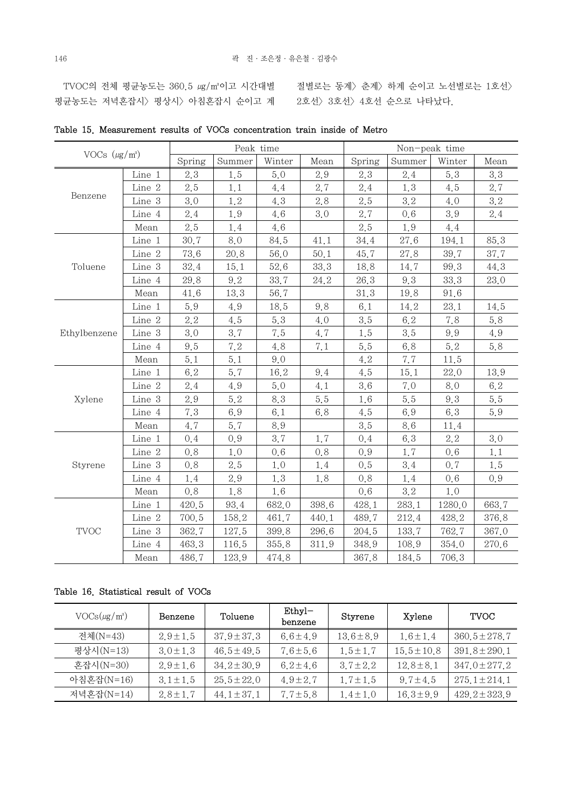TVOC의 전체 평균농도는 360.5 ㎏/㎡이고 시간대별 절별로는 동계〉춘계〉하계 순이고 노선별로는 1호선〉 평균농도는 저녁혼잡시〉평상시〉 아침혼잡시 순이고 계 2호선〉 3호선〉 4호선 순으로 나타났다.

| VOCs $(\mu g/m^3)$ |               |        | Peak time |         |       | Non-peak time |        |        |       |  |
|--------------------|---------------|--------|-----------|---------|-------|---------------|--------|--------|-------|--|
|                    |               | Spring | Summer    | Winter  | Mean  | Spring        | Summer | Winter | Mean  |  |
|                    | Line 1        | 2.3    | 1.5       | 5,0     | 2.9   | 2.3           | 2.4    | 5.3    | 3.3   |  |
|                    | Line 2        | 2.5    | 1,1       | 4.4     | 2.7   | 2.4           | 1.3    | 4.5    | 2.7   |  |
| Benzene            | Line 3        | 3.0    | 1.2       | 4.3     | 2.8   | 2.5           | 3.2    | 4.0    | 3.2   |  |
|                    | Line 4        | 2.4    | 1.9       | 4.6     | 3.0   | 2.7           | 0, 6   | 3.9    | 2.4   |  |
|                    | Mean          | 2.5    | 1.4       | 4.6     |       | 2.5           | 1.9    | 4.4    |       |  |
|                    | Line 1        | 30.7   | 8.0       | 84.5    | 41.1  | 34.4          | 27.6   | 194.1  | 85.3  |  |
|                    | Line 2        | 73.6   | 20.8      | 56.0    | 50.1  | 45.7          | 27.8   | 39.7   | 37.7  |  |
| Toluene            | Line 3        | 32.4   | 15.1      | 52.6    | 33.3  | 18.8          | 14.7   | 99.3   | 44.3  |  |
|                    | Line 4        | 29.8   | 9.2       | 33.7    | 24.2  | 26.3          | 9.3    | 33.3   | 23.0  |  |
|                    | Mean          | 41.6   | 13.3      | 56.7    |       | 31.3          | 19.8   | 91.6   |       |  |
|                    | Line 1        | 5.9    | 4.9       | 18.5    | 9.8   | 6.1           | 14.2   | 23.1   | 14.5  |  |
|                    | Line 2        | 2.2    | 4.5       | 5.3     | 4.0   | 3.5           | 6.2    | 7.8    | 5.8   |  |
| Ethylbenzene       | Line 3        | 3.0    | 3.7       | 7.5     | 4.7   | 1.5           | 3.5    | 9.9    | 4.9   |  |
|                    | Line 4        | 9.5    | 7.2       | 4.8     | 7.1   | 5.5           | 6.8    | 5.2    | 5.8   |  |
|                    | Mean          | 5.1    | 5.1       | 9.0     |       | 4.2           | 7.7    | 11.5   |       |  |
|                    | Line 1        | 6.2    | 5.7       | 16.2    | 9.4   | 4.5           | 15.1   | 22.0   | 13.9  |  |
|                    | Line 2        | 2.4    | 4.9       | $5.0\,$ | 4.1   | 3.6           | 7.0    | 8.0    | 6.2   |  |
| Xylene             | Line 3        | 2.9    | 5.2       | 8.3     | 5.5   | 1.6           | 5.5    | 9.3    | 5.5   |  |
|                    | Line 4        | 7.3    | 6.9       | 6.1     | 6.8   | 4.5           | 6.9    | 6.3    | 5.9   |  |
|                    | Mean          | 4.7    | 5.7       | 8.9     |       | 3.5           | 8.6    | 11.4   |       |  |
|                    | Line 1        | 0,4    | 0.9       | 3.7     | 1.7   | 0,4           | 6.3    | 2.2    | 3.0   |  |
|                    | Line 2        | 0.8    | 1,0       | 0.6     | 0.8   | 0.9           | 1.7    | 0,6    | 1,1   |  |
| Styrene            | Line 3        | 0.8    | 2.5       | 1.0     | 1.4   | 0.5           | 3.4    | 0.7    | 1.5   |  |
|                    | Line 4        | 1.4    | 2.9       | 1.3     | 1.8   | 0.8           | 1.4    | 0.6    | 0.9   |  |
|                    | Mean          | 0.8    | 1.8       | 1.6     |       | 0,6           | 3.2    | 1,0    |       |  |
|                    | Line 1        | 420.5  | 93.4      | 682.0   | 398.6 | 428.1         | 283.1  | 1280.0 | 663.7 |  |
|                    | Line 2        | 700.5  | 158.2     | 461.7   | 440.1 | 489.7         | 212.4  | 428.2  | 376.8 |  |
| <b>TVOC</b>        | $\rm Line\ 3$ | 362.7  | 127.5     | 399.8   | 296.6 | 204.5         | 133.7  | 762.7  | 367.0 |  |
|                    | Line 4        | 463.3  | 116.5     | 355.8   | 311.9 | 348.9         | 108.9  | 354.0  | 270.6 |  |
|                    | Mean          | 486.7  | 123.9     | 474.8   |       | 367.8         | 184.5  | 706.3  |       |  |

Table 15. Measurement results of VOCs concentration train inside of Metro

Table 16. Statistical result of VOCs

| $VOCs(\mu g/m^3)$ | Benzene       | Toluene         | $Ethyl-$<br>benzene | Styrene        | Xylene          | <b>TVOC</b>       |
|-------------------|---------------|-----------------|---------------------|----------------|-----------------|-------------------|
| 전체(N=43)          | $2.9 \pm 1.5$ | $37.9 \pm 37.3$ | $6.6 \pm 4.9$       | $13.6 \pm 8.9$ | $1.6 \pm 1.4$   | $360.5 \pm 278.7$ |
| 평상시(N=13)         | $3.0 \pm 1.3$ | $46.5 \pm 49.5$ | $7.6 \pm 5.6$       | $1.5 \pm 1.7$  | $15.5 \pm 10.8$ | $391.8 \pm 290.1$ |
| 혼잡시(N=30)         | $2.9 \pm 1.6$ | $34.2 \pm 30.9$ | $6.2 \pm 4.6$       | $3.7 \pm 2.2$  | $12.8 \pm 8.1$  | $347.0 \pm 277.2$ |
| 아침혼잡(N=16)        | $3.1 \pm 1.5$ | $25.5 \pm 22.0$ | $4.9 \pm 2.7$       | $1.7 \pm 1.5$  | $9.7 \pm 4.5$   | $275.1 \pm 214.1$ |
| 저녁혼잡(N=14)        | $2.8 \pm 1.7$ | $44.1 \pm 37.1$ | $7.7 \pm 5.8$       | $1.4 \pm 1.0$  | $16.3 \pm 9.9$  | $429.2 \pm 323.9$ |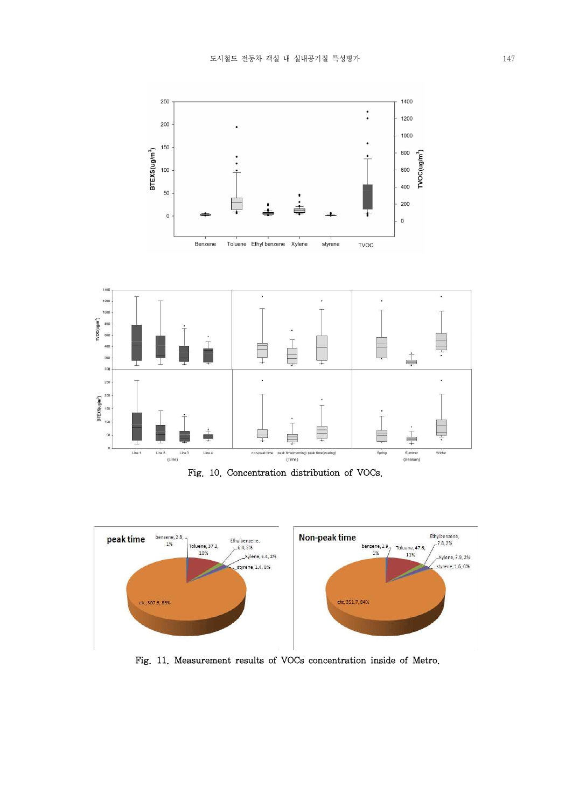







Fig. 11. Measurement results of VOCs concentration inside of Metro.